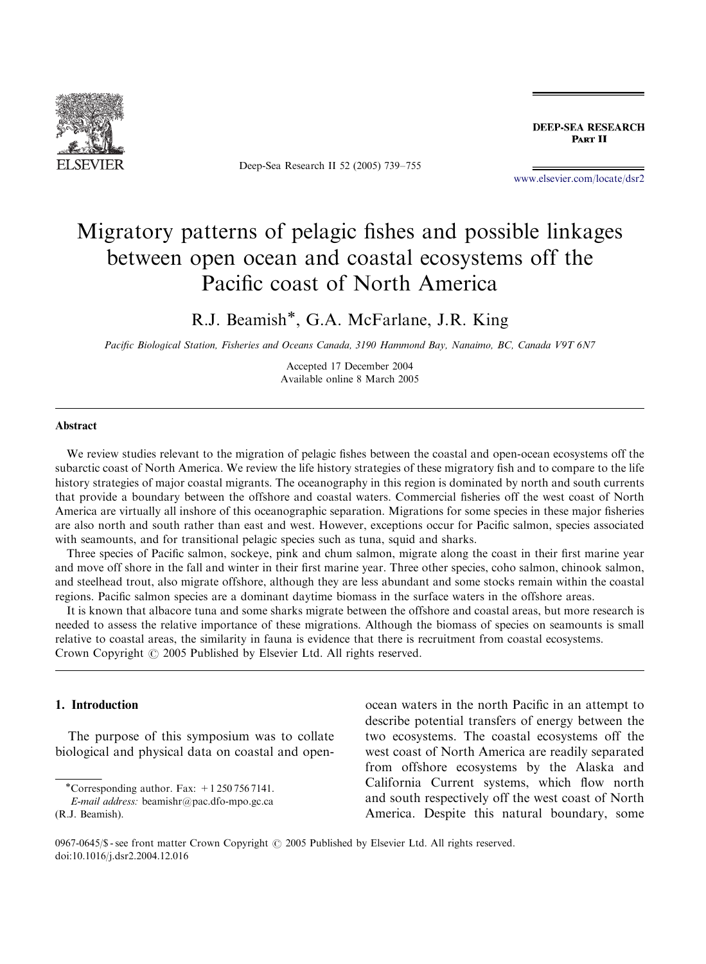

Deep-Sea Research II 52 (2005) 739–755

**DEEP-SEA RESEARCH** PART II

[www.elsevier.com/locate/dsr2](file://localhost/Users/troyt/Library/Mail%20Downloads/www.elsevier.com/locate/dsr2)

# Migratory patterns of pelagic fishes and possible linkages between open ocean and coastal ecosystems off the Pacific coast of North America

# R.J. Beamish\*, G.A. McFarlane, J.R. King

Pacific Biological Station, Fisheries and Oceans Canada, 3190 Hammond Bay, Nanaimo, BC, Canada V9T 6N7

Accepted 17 December 2004 Available online 8 March 2005

# Abstract

We review studies relevant to the migration of pelagic fishes between the coastal and open-ocean ecosystems off the subarctic coast of North America. We review the life history strategies of these migratory fish and to compare to the life history strategies of major coastal migrants. The oceanography in this region is dominated by north and south currents that provide a boundary between the offshore and coastal waters. Commercial fisheries off the west coast of North America are virtually all inshore of this oceanographic separation. Migrations for some species in these major fisheries are also north and south rather than east and west. However, exceptions occur for Pacific salmon, species associated with seamounts, and for transitional pelagic species such as tuna, squid and sharks.

Three species of Pacific salmon, sockeye, pink and chum salmon, migrate along the coast in their first marine year and move off shore in the fall and winter in their first marine year. Three other species, coho salmon, chinook salmon, and steelhead trout, also migrate offshore, although they are less abundant and some stocks remain within the coastal regions. Pacific salmon species are a dominant daytime biomass in the surface waters in the offshore areas.

It is known that albacore tuna and some sharks migrate between the offshore and coastal areas, but more research is needed to assess the relative importance of these migrations. Although the biomass of species on seamounts is small relative to coastal areas, the similarity in fauna is evidence that there is recruitment from coastal ecosystems. Crown Copyright  $\odot$  2005 Published by Elsevier Ltd. All rights reserved.

## 1. Introduction

The purpose of this symposium was to collate biological and physical data on coastal and openocean waters in the north Pacific in an attempt to describe potential transfers of energy between the two ecosystems. The coastal ecosystems off the west coast of North America are readily separated from offshore ecosystems by the Alaska and California Current systems, which flow north and south respectively off the west coast of North America. Despite this natural boundary, some

<sup>\*</sup>Corresponding author. Fax:  $+12507567141$ .

E-mail address: beamishr@pac.dfo-mpo.gc.ca

<sup>(</sup>R.J. Beamish).

<sup>0967-0645/\$ -</sup> see front matter Crown Copyright © 2005 Published by Elsevier Ltd. All rights reserved. doi:10.1016/j.dsr2.2004.12.016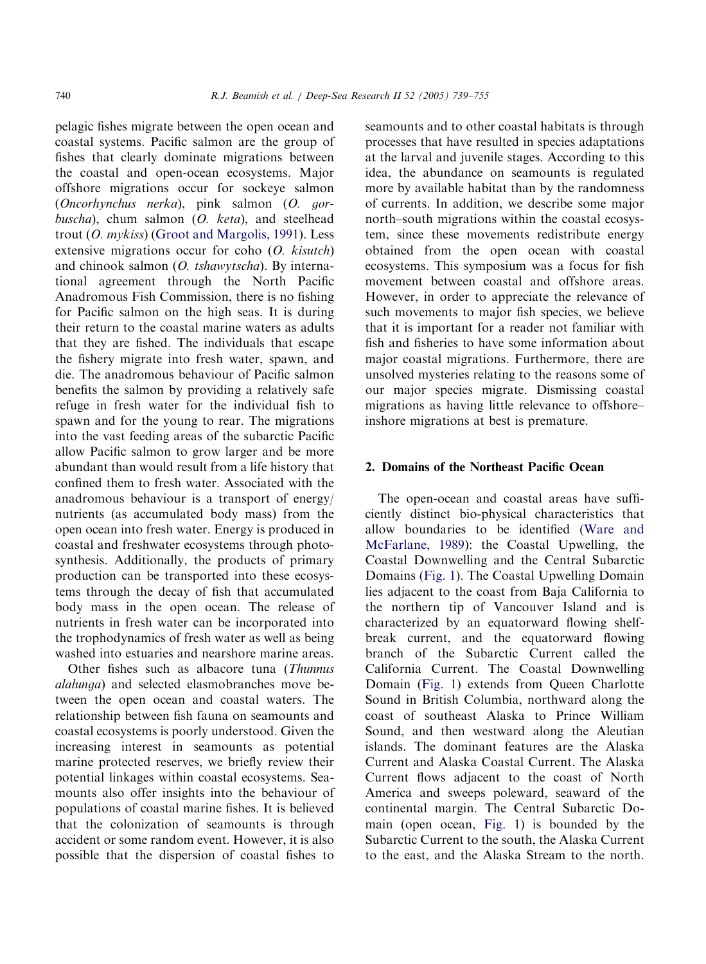pelagic fishes migrate between the open ocean and coastal systems. Pacific salmon are the group of fishes that clearly dominate migrations between the coastal and open-ocean ecosystems. Major offshore migrations occur for sockeye salmon (Oncorhynchus nerka), pink salmon (O. gorbuscha), chum salmon (O. keta), and steelhead trout (O. mykiss) ([Groot and Margolis, 1991\)](#page-15-0). Less extensive migrations occur for coho (O. kisutch) and chinook salmon (O. tshawytscha). By international agreement through the North Pacific Anadromous Fish Commission, there is no fishing for Pacific salmon on the high seas. It is during their return to the coastal marine waters as adults that they are fished. The individuals that escape the fishery migrate into fresh water, spawn, and die. The anadromous behaviour of Pacific salmon benefits the salmon by providing a relatively safe refuge in fresh water for the individual fish to spawn and for the young to rear. The migrations into the vast feeding areas of the subarctic Pacific allow Pacific salmon to grow larger and be more abundant than would result from a life history that confined them to fresh water. Associated with the anadromous behaviour is a transport of energy/ nutrients (as accumulated body mass) from the open ocean into fresh water. Energy is produced in coastal and freshwater ecosystems through photosynthesis. Additionally, the products of primary production can be transported into these ecosystems through the decay of fish that accumulated body mass in the open ocean. The release of nutrients in fresh water can be incorporated into the trophodynamics of fresh water as well as being washed into estuaries and nearshore marine areas.

Other fishes such as albacore tuna (Thunnus alalunga) and selected elasmobranches move between the open ocean and coastal waters. The relationship between fish fauna on seamounts and coastal ecosystems is poorly understood. Given the increasing interest in seamounts as potential marine protected reserves, we briefly review their potential linkages within coastal ecosystems. Seamounts also offer insights into the behaviour of populations of coastal marine fishes. It is believed that the colonization of seamounts is through accident or some random event. However, it is also possible that the dispersion of coastal fishes to

seamounts and to other coastal habitats is through processes that have resulted in species adaptations at the larval and juvenile stages. According to this idea, the abundance on seamounts is regulated more by available habitat than by the randomness of currents. In addition, we describe some major north–south migrations within the coastal ecosystem, since these movements redistribute energy obtained from the open ocean with coastal ecosystems. This symposium was a focus for fish movement between coastal and offshore areas. However, in order to appreciate the relevance of such movements to major fish species, we believe that it is important for a reader not familiar with fish and fisheries to have some information about major coastal migrations. Furthermore, there are unsolved mysteries relating to the reasons some of our major species migrate. Dismissing coastal migrations as having little relevance to offshore– inshore migrations at best is premature.

# 2. Domains of the Northeast Pacific Ocean

The open-ocean and coastal areas have sufficiently distinct bio-physical characteristics that allow boundaries to be identified [\(Ware and](#page-16-0) [McFarlane, 1989](#page-16-0)): the Coastal Upwelling, the Coastal Downwelling and the Central Subarctic Domains ([Fig. 1\)](#page-2-0). The Coastal Upwelling Domain lies adjacent to the coast from Baja California to the northern tip of Vancouver Island and is characterized by an equatorward flowing shelfbreak current, and the equatorward flowing branch of the Subarctic Current called the California Current. The Coastal Downwelling Domain [\(Fig. 1](#page-2-0)) extends from Queen Charlotte Sound in British Columbia, northward along the coast of southeast Alaska to Prince William Sound, and then westward along the Aleutian islands. The dominant features are the Alaska Current and Alaska Coastal Current. The Alaska Current flows adjacent to the coast of North America and sweeps poleward, seaward of the continental margin. The Central Subarctic Domain (open ocean, [Fig. 1](#page-2-0)) is bounded by the Subarctic Current to the south, the Alaska Current to the east, and the Alaska Stream to the north.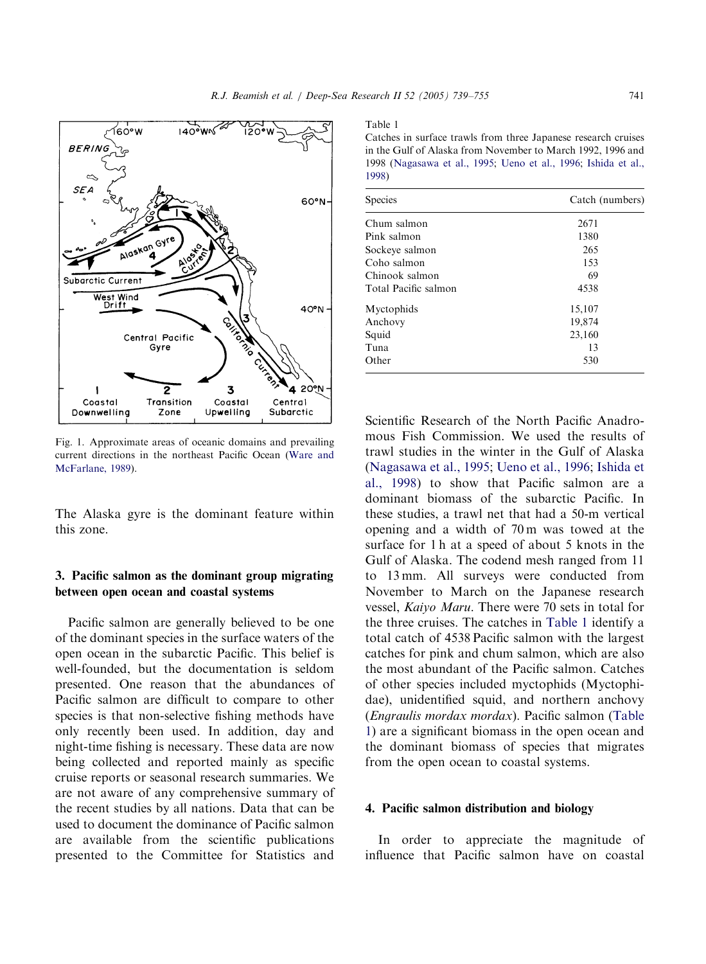

Fig. 1. Approximate areas of oceanic domains and prevailing current directions in the northeast Pacific Ocean ([Ware and](#page-16-0) [McFarlane, 1989\)](#page-16-0).

The Alaska gyre is the dominant feature within this zone.

# 3. Pacific salmon as the dominant group migrating between open ocean and coastal systems

<span id="page-2-0"></span>Pacific salmon are generally believed to be one of the dominant species in the surface waters of the open ocean in the subarctic Pacific. This belief is well-founded, but the documentation is seldom presented. One reason that the abundances of Pacific salmon are difficult to compare to other species is that non-selective fishing methods have only recently been used. In addition, day and night-time fishing is necessary. These data are now being collected and reported mainly as specific cruise reports or seasonal research summaries. We are not aware of any comprehensive summary of the recent studies by all nations. Data that can be used to document the dominance of Pacific salmon are available from the scientific publications presented to the Committee for Statistics and

#### Table 1

Catches in surface trawls from three Japanese research cruises in the Gulf of Alaska from November to March 1992, 1996 and 1998 [\(Nagasawa et al., 1995;](#page-15-0) [Ueno et al., 1996](#page-16-0); [Ishida et al.,](#page-15-0) [1998\)](#page-15-0)

| Species              | Catch (numbers) |
|----------------------|-----------------|
| Chum salmon          | 2671            |
| Pink salmon          | 1380            |
| Sockeye salmon       | 265             |
| Coho salmon          | 153             |
| Chinook salmon       | 69              |
| Total Pacific salmon | 4538            |
| Myctophids           | 15,107          |
| Anchovy              | 19,874          |
| Squid                | 23,160          |
| Tuna                 | 13              |
| Other                | 530             |

Scientific Research of the North Pacific Anadromous Fish Commission. We used the results of trawl studies in the winter in the Gulf of Alaska ([Nagasawa et al., 1995;](#page-15-0) [Ueno et al., 1996;](#page-16-0) [Ishida et](#page-15-0) [al., 1998](#page-15-0)) to show that Pacific salmon are a dominant biomass of the subarctic Pacific. In these studies, a trawl net that had a 50-m vertical opening and a width of 70 m was towed at the surface for 1 h at a speed of about 5 knots in the Gulf of Alaska. The codend mesh ranged from 11 to 13 mm. All surveys were conducted from November to March on the Japanese research vessel, Kaiyo Maru. There were 70 sets in total for the three cruises. The catches in [Table 1](#page-2-0) identify a total catch of 4538 Pacific salmon with the largest catches for pink and chum salmon, which are also the most abundant of the Pacific salmon. Catches of other species included myctophids (Myctophidae), unidentified squid, and northern anchovy (Engraulis mordax mordax). Pacific salmon ([Table](#page-2-0) [1\)](#page-2-0) are a significant biomass in the open ocean and the dominant biomass of species that migrates from the open ocean to coastal systems.

#### 4. Pacific salmon distribution and biology

In order to appreciate the magnitude of influence that Pacific salmon have on coastal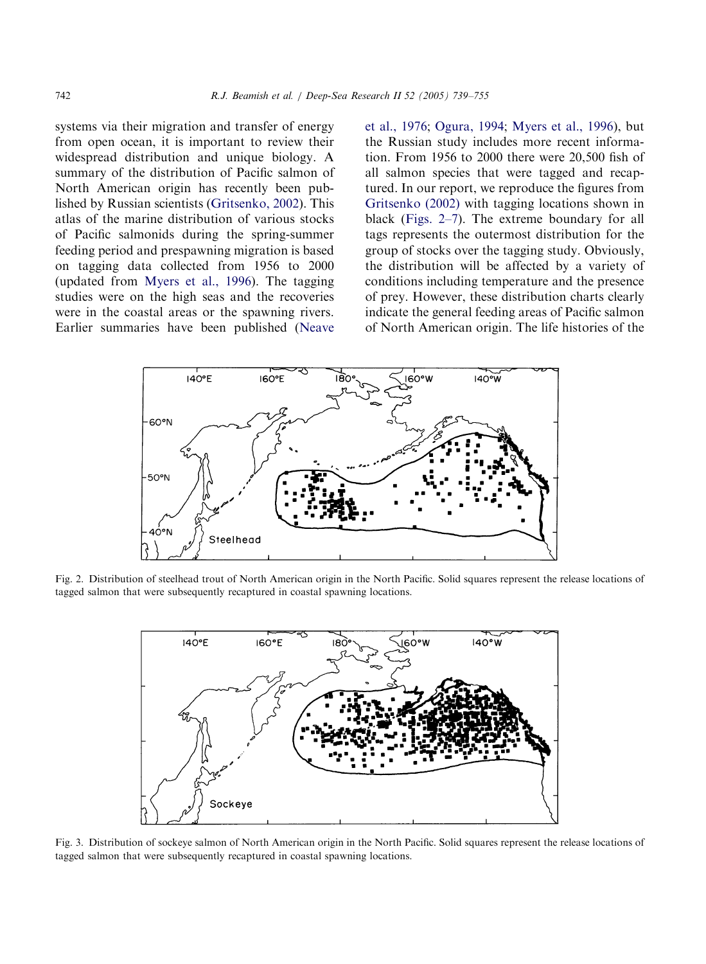systems via their migration and transfer of energy from open ocean, it is important to review their widespread distribution and unique biology. A summary of the distribution of Pacific salmon of North American origin has recently been published by Russian scientists ([Gritsenko, 2002\)](#page-15-0). This atlas of the marine distribution of various stocks of Pacific salmonids during the spring-summer feeding period and prespawning migration is based on tagging data collected from 1956 to 2000 (updated from [Myers et al., 1996\)](#page-15-0). The tagging studies were on the high seas and the recoveries were in the coastal areas or the spawning rivers. Earlier summaries have been published ([Neave](#page-15-0)

[et al., 1976](#page-15-0); [Ogura, 1994;](#page-15-0) [Myers et al., 1996\)](#page-15-0), but the Russian study includes more recent information. From 1956 to 2000 there were 20,500 fish of all salmon species that were tagged and recaptured. In our report, we reproduce the figures from [Gritsenko \(2002\)](#page-15-0) with tagging locations shown in black ([Figs. 2–7](#page-3-0)). The extreme boundary for all tags represents the outermost distribution for the group of stocks over the tagging study. Obviously, the distribution will be affected by a variety of conditions including temperature and the presence of prey. However, these distribution charts clearly indicate the general feeding areas of Pacific salmon of North American origin. The life histories of the



Fig. 2. Distribution of steelhead trout of North American origin in the North Pacific. Solid squares represent the release locations of tagged salmon that were subsequently recaptured in coastal spawning locations.



<span id="page-3-0"></span>Fig. 3. Distribution of sockeye salmon of North American origin in the North Pacific. Solid squares represent the release locations of tagged salmon that were subsequently recaptured in coastal spawning locations.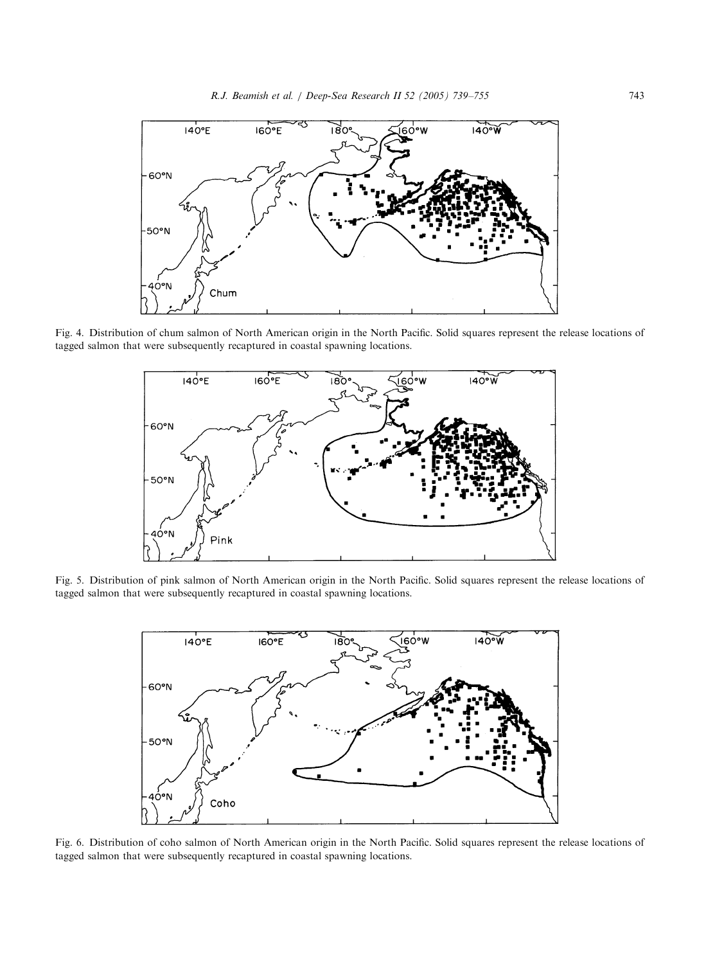

Fig. 4. Distribution of chum salmon of North American origin in the North Pacific. Solid squares represent the release locations of tagged salmon that were subsequently recaptured in coastal spawning locations.



Fig. 5. Distribution of pink salmon of North American origin in the North Pacific. Solid squares represent the release locations of tagged salmon that were subsequently recaptured in coastal spawning locations.



<span id="page-4-0"></span>Fig. 6. Distribution of coho salmon of North American origin in the North Pacific. Solid squares represent the release locations of tagged salmon that were subsequently recaptured in coastal spawning locations.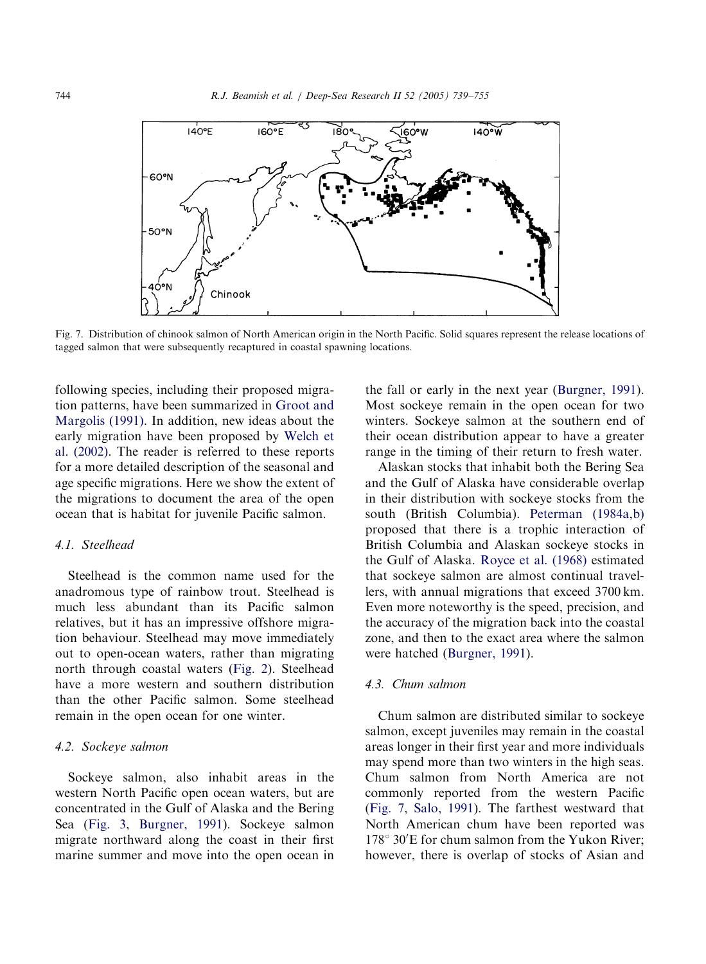

Fig. 7. Distribution of chinook salmon of North American origin in the North Pacific. Solid squares represent the release locations of tagged salmon that were subsequently recaptured in coastal spawning locations.

following species, including their proposed migration patterns, have been summarized in [Groot and](#page-15-0) [Margolis \(1991\).](#page-15-0) In addition, new ideas about the early migration have been proposed by [Welch et](#page-16-0) [al. \(2002\)](#page-16-0). The reader is referred to these reports for a more detailed description of the seasonal and age specific migrations. Here we show the extent of the migrations to document the area of the open ocean that is habitat for juvenile Pacific salmon.

# 4.1. Steelhead

Steelhead is the common name used for the anadromous type of rainbow trout. Steelhead is much less abundant than its Pacific salmon relatives, but it has an impressive offshore migration behaviour. Steelhead may move immediately out to open-ocean waters, rather than migrating north through coastal waters ([Fig. 2](#page-3-0)). Steelhead have a more western and southern distribution than the other Pacific salmon. Some steelhead remain in the open ocean for one winter.

# 4.2. Sockeye salmon

<span id="page-5-0"></span>Sockeye salmon, also inhabit areas in the western North Pacific open ocean waters, but are concentrated in the Gulf of Alaska and the Bering Sea ([Fig. 3](#page-3-0), [Burgner, 1991\)](#page-14-0). Sockeye salmon migrate northward along the coast in their first marine summer and move into the open ocean in

the fall or early in the next year ([Burgner, 1991\)](#page-14-0). Most sockeye remain in the open ocean for two winters. Sockeye salmon at the southern end of their ocean distribution appear to have a greater range in the timing of their return to fresh water.

Alaskan stocks that inhabit both the Bering Sea and the Gulf of Alaska have considerable overlap in their distribution with sockeye stocks from the south (British Columbia). [Peterman \(1984a,b\)](#page-15-0) proposed that there is a trophic interaction of British Columbia and Alaskan sockeye stocks in the Gulf of Alaska. [Royce et al. \(1968\)](#page-16-0) estimated that sockeye salmon are almost continual travellers, with annual migrations that exceed 3700 km. Even more noteworthy is the speed, precision, and the accuracy of the migration back into the coastal zone, and then to the exact area where the salmon were hatched ([Burgner, 1991\)](#page-14-0).

#### 4.3. Chum salmon

Chum salmon are distributed similar to sockeye salmon, except juveniles may remain in the coastal areas longer in their first year and more individuals may spend more than two winters in the high seas. Chum salmon from North America are not commonly reported from the western Pacific ([Fig. 7,](#page-5-0) [Salo, 1991](#page-16-0)). The farthest westward that North American chum have been reported was  $178^{\circ}$  30'E for chum salmon from the Yukon River; however, there is overlap of stocks of Asian and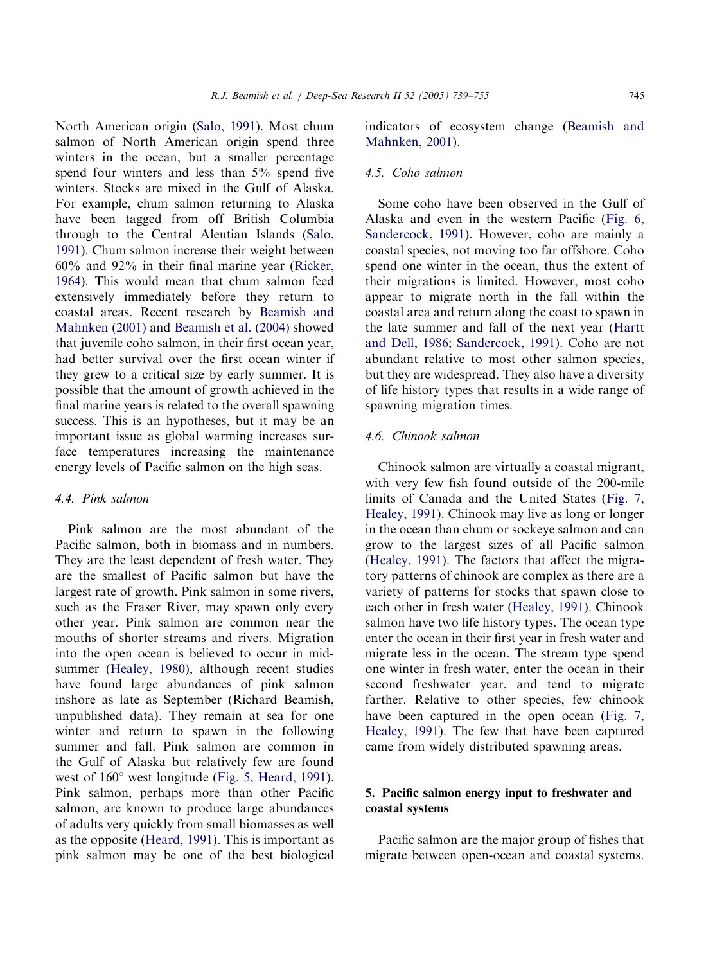North American origin ([Salo, 1991](#page-16-0)). Most chum 4.5. Coho salmon

salmon of North American origin spend three winters in the ocean, but a smaller percentage spend four winters and less than 5% spend five winters. Stocks are mixed in the Gulf of Alaska. For example, chum salmon returning to Alaska have been tagged from off British Columbia through to the Central Aleutian Islands [\(Salo,](#page-16-0) [1991](#page-16-0)). Chum salmon increase their weight between 60% and 92% in their final marine year ([Ricker,](#page-15-0) [1964](#page-15-0)). This would mean that chum salmon feed extensively immediately before they return to coastal areas. Recent research by [Beamish and](#page-14-0) [Mahnken \(2001\)](#page-14-0) and [Beamish et al. \(2004\)](#page-14-0) showed that juvenile coho salmon, in their first ocean year, had better survival over the first ocean winter if they grew to a critical size by early summer. It is possible that the amount of growth achieved in the final marine years is related to the overall spawning success. This is an hypotheses, but it may be an important issue as global warming increases surface temperatures increasing the maintenance energy levels of Pacific salmon on the high seas.

# 4.4. Pink salmon

Pink salmon are the most abundant of the Pacific salmon, both in biomass and in numbers. They are the least dependent of fresh water. They are the smallest of Pacific salmon but have the largest rate of growth. Pink salmon in some rivers, such as the Fraser River, may spawn only every other year. Pink salmon are common near the mouths of shorter streams and rivers. Migration into the open ocean is believed to occur in midsummer [\(Healey, 1980\)](#page-15-0), although recent studies have found large abundances of pink salmon inshore as late as September (Richard Beamish, unpublished data). They remain at sea for one winter and return to spawn in the following summer and fall. Pink salmon are common in the Gulf of Alaska but relatively few are found west of  $160^\circ$  west longitude [\(Fig. 5,](#page-4-0) [Heard, 1991\)](#page-15-0). Pink salmon, perhaps more than other Pacific salmon, are known to produce large abundances of adults very quickly from small biomasses as well as the opposite [\(Heard, 1991](#page-15-0)). This is important as pink salmon may be one of the best biological

indicators of ecosystem change [\(Beamish and](#page-14-0) [Mahnken, 2001\)](#page-14-0).

Some coho have been observed in the Gulf of Alaska and even in the western Pacific ([Fig. 6](#page-4-0), [Sandercock, 1991](#page-16-0)). However, coho are mainly a coastal species, not moving too far offshore. Coho spend one winter in the ocean, thus the extent of their migrations is limited. However, most coho appear to migrate north in the fall within the coastal area and return along the coast to spawn in the late summer and fall of the next year [\(Hartt](#page-15-0) [and Dell, 1986;](#page-15-0) [Sandercock, 1991](#page-16-0)). Coho are not abundant relative to most other salmon species, but they are widespread. They also have a diversity of life history types that results in a wide range of spawning migration times.

# 4.6. Chinook salmon

Chinook salmon are virtually a coastal migrant, with very few fish found outside of the 200-mile limits of Canada and the United States [\(Fig. 7](#page-5-0), [Healey, 1991\)](#page-15-0). Chinook may live as long or longer in the ocean than chum or sockeye salmon and can grow to the largest sizes of all Pacific salmon ([Healey, 1991\)](#page-15-0). The factors that affect the migratory patterns of chinook are complex as there are a variety of patterns for stocks that spawn close to each other in fresh water ([Healey, 1991](#page-15-0)). Chinook salmon have two life history types. The ocean type enter the ocean in their first year in fresh water and migrate less in the ocean. The stream type spend one winter in fresh water, enter the ocean in their second freshwater year, and tend to migrate farther. Relative to other species, few chinook have been captured in the open ocean ([Fig. 7](#page-5-0), [Healey, 1991](#page-15-0)). The few that have been captured came from widely distributed spawning areas.

# 5. Pacific salmon energy input to freshwater and coastal systems

Pacific salmon are the major group of fishes that migrate between open-ocean and coastal systems.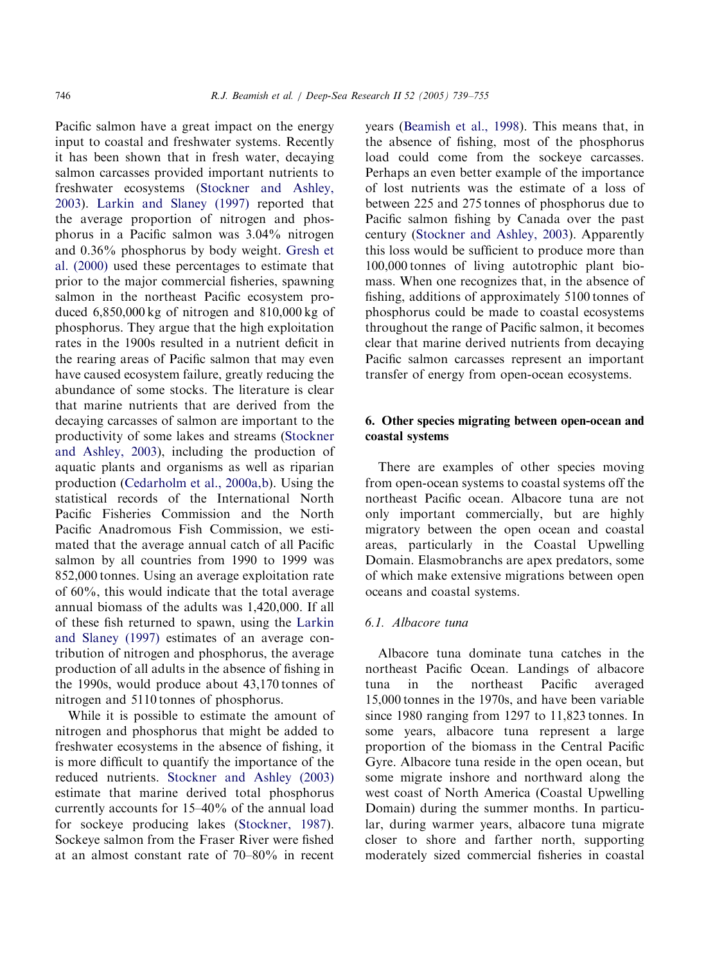Pacific salmon have a great impact on the energy input to coastal and freshwater systems. Recently it has been shown that in fresh water, decaying salmon carcasses provided important nutrients to freshwater ecosystems ([Stockner and Ashley,](#page-16-0) [2003](#page-16-0)). [Larkin and Slaney \(1997\)](#page-15-0) reported that the average proportion of nitrogen and phosphorus in a Pacific salmon was 3.04% nitrogen and 0.36% phosphorus by body weight. [Gresh et](#page-15-0) [al. \(2000\)](#page-15-0) used these percentages to estimate that prior to the major commercial fisheries, spawning salmon in the northeast Pacific ecosystem produced 6,850,000 kg of nitrogen and 810,000 kg of phosphorus. They argue that the high exploitation rates in the 1900s resulted in a nutrient deficit in the rearing areas of Pacific salmon that may even have caused ecosystem failure, greatly reducing the abundance of some stocks. The literature is clear that marine nutrients that are derived from the decaying carcasses of salmon are important to the productivity of some lakes and streams ([Stockner](#page-16-0) [and Ashley, 2003](#page-16-0)), including the production of aquatic plants and organisms as well as riparian production [\(Cedarholm et al., 2000a,b](#page-14-0)). Using the statistical records of the International North Pacific Fisheries Commission and the North Pacific Anadromous Fish Commission, we estimated that the average annual catch of all Pacific salmon by all countries from 1990 to 1999 was 852,000 tonnes. Using an average exploitation rate of 60%, this would indicate that the total average annual biomass of the adults was 1,420,000. If all of these fish returned to spawn, using the [Larkin](#page-15-0) [and Slaney \(1997\)](#page-15-0) estimates of an average contribution of nitrogen and phosphorus, the average production of all adults in the absence of fishing in the 1990s, would produce about 43,170 tonnes of nitrogen and 5110 tonnes of phosphorus.

While it is possible to estimate the amount of nitrogen and phosphorus that might be added to freshwater ecosystems in the absence of fishing, it is more difficult to quantify the importance of the reduced nutrients. [Stockner and Ashley \(2003\)](#page-16-0) estimate that marine derived total phosphorus currently accounts for 15–40% of the annual load for sockeye producing lakes [\(Stockner, 1987\)](#page-16-0). Sockeye salmon from the Fraser River were fished at an almost constant rate of 70–80% in recent

years [\(Beamish et al., 1998\)](#page-14-0). This means that, in the absence of fishing, most of the phosphorus load could come from the sockeye carcasses. Perhaps an even better example of the importance of lost nutrients was the estimate of a loss of between 225 and 275 tonnes of phosphorus due to Pacific salmon fishing by Canada over the past century ([Stockner and Ashley, 2003](#page-16-0)). Apparently this loss would be sufficient to produce more than 100,000 tonnes of living autotrophic plant biomass. When one recognizes that, in the absence of fishing, additions of approximately 5100 tonnes of phosphorus could be made to coastal ecosystems throughout the range of Pacific salmon, it becomes clear that marine derived nutrients from decaying Pacific salmon carcasses represent an important transfer of energy from open-ocean ecosystems.

# 6. Other species migrating between open-ocean and coastal systems

There are examples of other species moving from open-ocean systems to coastal systems off the northeast Pacific ocean. Albacore tuna are not only important commercially, but are highly migratory between the open ocean and coastal areas, particularly in the Coastal Upwelling Domain. Elasmobranchs are apex predators, some of which make extensive migrations between open oceans and coastal systems.

# 6.1. Albacore tuna

Albacore tuna dominate tuna catches in the northeast Pacific Ocean. Landings of albacore tuna in the northeast Pacific averaged 15,000 tonnes in the 1970s, and have been variable since 1980 ranging from 1297 to 11,823 tonnes. In some years, albacore tuna represent a large proportion of the biomass in the Central Pacific Gyre. Albacore tuna reside in the open ocean, but some migrate inshore and northward along the west coast of North America (Coastal Upwelling Domain) during the summer months. In particular, during warmer years, albacore tuna migrate closer to shore and farther north, supporting moderately sized commercial fisheries in coastal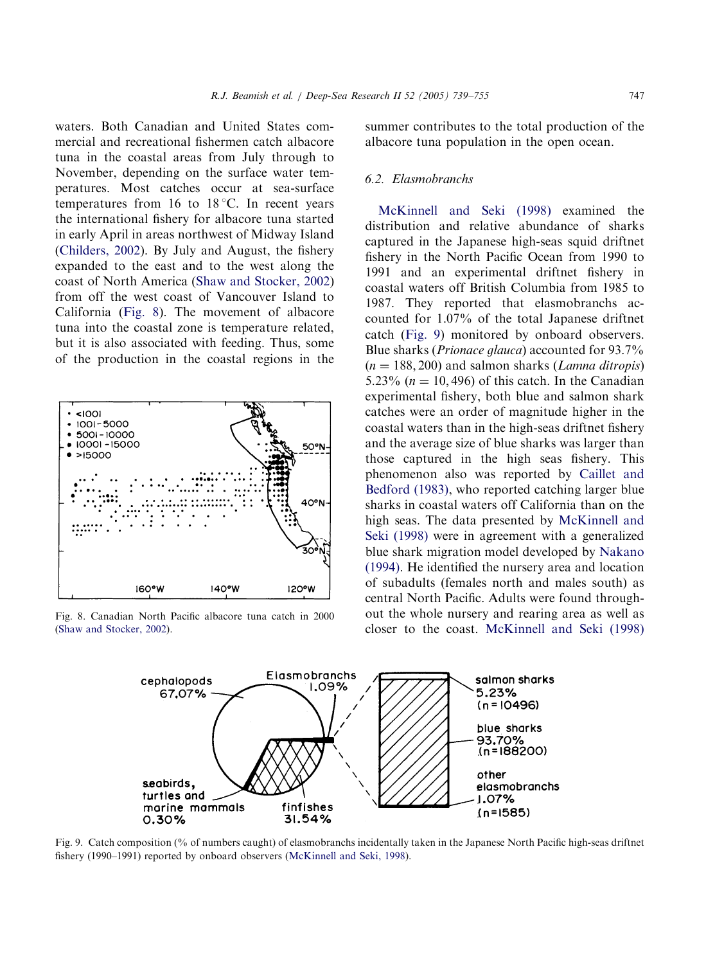waters. Both Canadian and United States commercial and recreational fishermen catch albacore tuna in the coastal areas from July through to November, depending on the surface water temperatures. Most catches occur at sea-surface temperatures from 16 to 18  $\degree$ C. In recent years the international fishery for albacore tuna started in early April in areas northwest of Midway Island ([Childers, 2002](#page-14-0)). By July and August, the fishery expanded to the east and to the west along the coast of North America [\(Shaw and Stocker, 2002](#page-16-0)) from off the west coast of Vancouver Island to California ([Fig. 8\)](#page-8-0). The movement of albacore tuna into the coastal zone is temperature related, but it is also associated with feeding. Thus, some of the production in the coastal regions in the



Fig. 8. Canadian North Pacific albacore tuna catch in 2000 [\(Shaw and Stocker, 2002](#page-16-0)).

summer contributes to the total production of the albacore tuna population in the open ocean.

# 6.2. Elasmobranchs

[McKinnell and Seki \(1998\)](#page-15-0) examined the distribution and relative abundance of sharks captured in the Japanese high-seas squid driftnet fishery in the North Pacific Ocean from 1990 to 1991 and an experimental driftnet fishery in coastal waters off British Columbia from 1985 to 1987. They reported that elasmobranchs accounted for 1.07% of the total Japanese driftnet catch [\(Fig. 9](#page-8-0)) monitored by onboard observers. Blue sharks (Prionace glauca) accounted for 93.7%  $(n = 188, 200)$  and salmon sharks (*Lamna ditropis*) 5.23% ( $n = 10,496$ ) of this catch. In the Canadian experimental fishery, both blue and salmon shark catches were an order of magnitude higher in the coastal waters than in the high-seas driftnet fishery and the average size of blue sharks was larger than those captured in the high seas fishery. This phenomenon also was reported by [Caillet and](#page-14-0) [Bedford \(1983\),](#page-14-0) who reported catching larger blue sharks in coastal waters off California than on the high seas. The data presented by [McKinnell and](#page-15-0) [Seki \(1998\)](#page-15-0) were in agreement with a generalized blue shark migration model developed by [Nakano](#page-15-0) [\(1994\)](#page-15-0). He identified the nursery area and location of subadults (females north and males south) as central North Pacific. Adults were found throughout the whole nursery and rearing area as well as closer to the coast. [McKinnell and Seki \(1998\)](#page-15-0)



<span id="page-8-0"></span>Fig. 9. Catch composition (% of numbers caught) of elasmobranchs incidentally taken in the Japanese North Pacific high-seas driftnet fishery (1990–1991) reported by onboard observers ([McKinnell and Seki, 1998](#page-15-0)).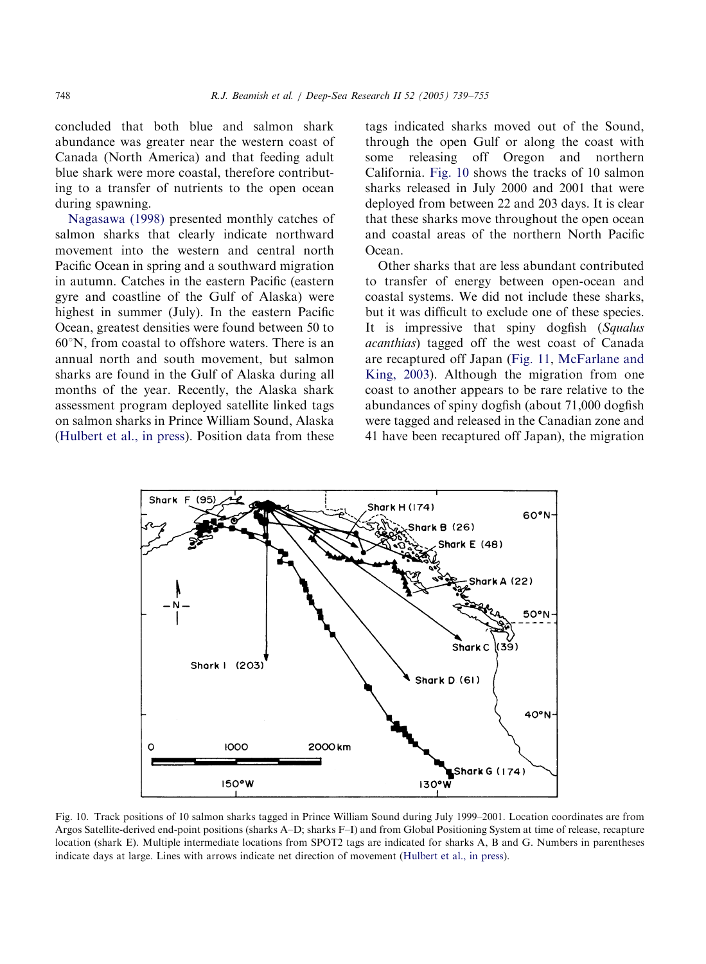concluded that both blue and salmon shark abundance was greater near the western coast of Canada (North America) and that feeding adult blue shark were more coastal, therefore contributing to a transfer of nutrients to the open ocean during spawning.

[Nagasawa \(1998\)](#page-15-0) presented monthly catches of salmon sharks that clearly indicate northward movement into the western and central north Pacific Ocean in spring and a southward migration in autumn. Catches in the eastern Pacific (eastern gyre and coastline of the Gulf of Alaska) were highest in summer (July). In the eastern Pacific Ocean, greatest densities were found between 50 to  $60^{\circ}$ N, from coastal to offshore waters. There is an annual north and south movement, but salmon sharks are found in the Gulf of Alaska during all months of the year. Recently, the Alaska shark assessment program deployed satellite linked tags on salmon sharks in Prince William Sound, Alaska ([Hulbert et al., in press\)](#page-15-0). Position data from these tags indicated sharks moved out of the Sound, through the open Gulf or along the coast with some releasing off Oregon and northern California. [Fig. 10](#page-9-0) shows the tracks of 10 salmon sharks released in July 2000 and 2001 that were deployed from between 22 and 203 days. It is clear that these sharks move throughout the open ocean and coastal areas of the northern North Pacific Ocean.

Other sharks that are less abundant contributed to transfer of energy between open-ocean and coastal systems. We did not include these sharks, but it was difficult to exclude one of these species. It is impressive that spiny dogfish (Squalus acanthias) tagged off the west coast of Canada are recaptured off Japan [\(Fig. 11](#page-10-0), [McFarlane and](#page-15-0) [King, 2003](#page-15-0)). Although the migration from one coast to another appears to be rare relative to the abundances of spiny dogfish (about 71,000 dogfish were tagged and released in the Canadian zone and 41 have been recaptured off Japan), the migration



<span id="page-9-0"></span>Fig. 10. Track positions of 10 salmon sharks tagged in Prince William Sound during July 1999–2001. Location coordinates are from Argos Satellite-derived end-point positions (sharks A–D; sharks F–I) and from Global Positioning System at time of release, recapture location (shark E). Multiple intermediate locations from SPOT2 tags are indicated for sharks A, B and G. Numbers in parentheses indicate days at large. Lines with arrows indicate net direction of movement ([Hulbert et al., in press](#page-15-0)).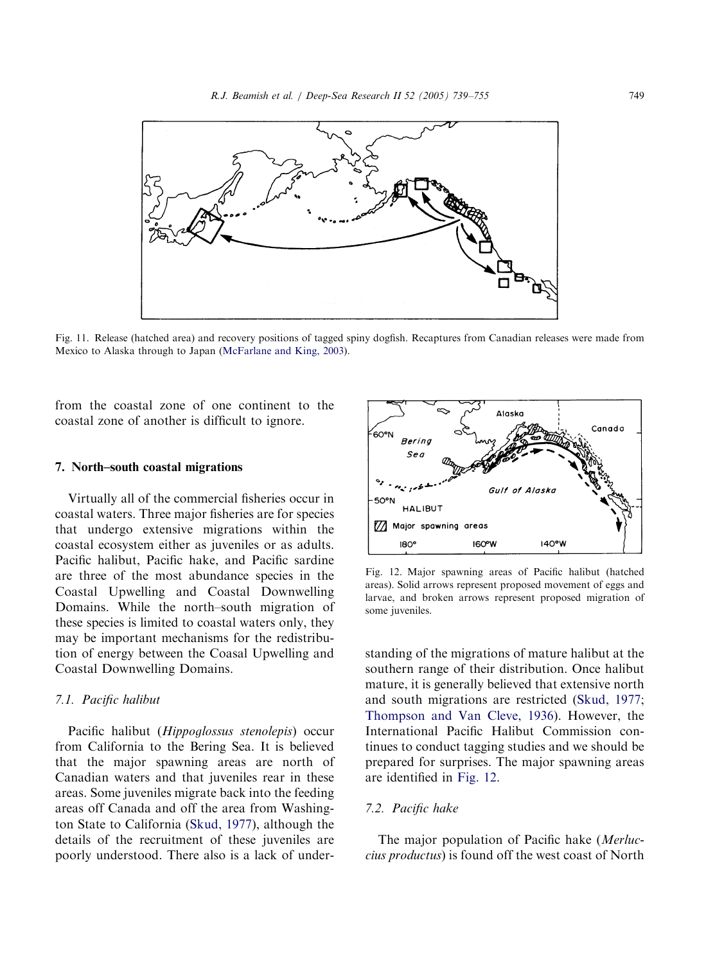

Fig. 11. Release (hatched area) and recovery positions of tagged spiny dogfish. Recaptures from Canadian releases were made from Mexico to Alaska through to Japan ([McFarlane and King, 2003](#page-15-0)).

from the coastal zone of one continent to the coastal zone of another is difficult to ignore.

#### 7. North–south coastal migrations

Virtually all of the commercial fisheries occur in coastal waters. Three major fisheries are for species that undergo extensive migrations within the coastal ecosystem either as juveniles or as adults. Pacific halibut, Pacific hake, and Pacific sardine are three of the most abundance species in the Coastal Upwelling and Coastal Downwelling Domains. While the north–south migration of these species is limited to coastal waters only, they may be important mechanisms for the redistribution of energy between the Coasal Upwelling and Coastal Downwelling Domains.

# 7.1. Pacific halibut

<span id="page-10-0"></span>Pacific halibut (Hippoglossus stenolepis) occur from California to the Bering Sea. It is believed that the major spawning areas are north of Canadian waters and that juveniles rear in these areas. Some juveniles migrate back into the feeding areas off Canada and off the area from Washington State to California [\(Skud, 1977](#page-16-0)), although the details of the recruitment of these juveniles are poorly understood. There also is a lack of under-



Fig. 12. Major spawning areas of Pacific halibut (hatched areas). Solid arrows represent proposed movement of eggs and larvae, and broken arrows represent proposed migration of some juveniles.

standing of the migrations of mature halibut at the southern range of their distribution. Once halibut mature, it is generally believed that extensive north and south migrations are restricted [\(Skud, 1977](#page-16-0); [Thompson and Van Cleve, 1936\)](#page-16-0). However, the International Pacific Halibut Commission continues to conduct tagging studies and we should be prepared for surprises. The major spawning areas are identified in [Fig. 12.](#page-10-0)

# 7.2. Pacific hake

The major population of Pacific hake (Merluccius productus) is found off the west coast of North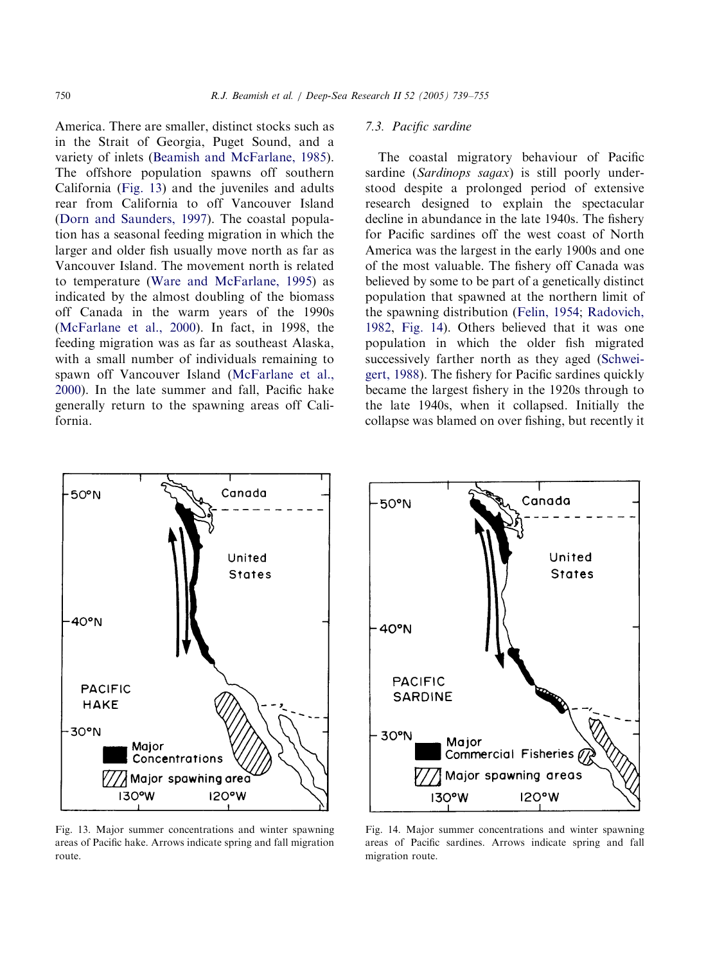America. There are smaller, distinct stocks such as in the Strait of Georgia, Puget Sound, and a variety of inlets ([Beamish and McFarlane, 1985\)](#page-14-0). The offshore population spawns off southern California ([Fig. 13\)](#page-11-0) and the juveniles and adults rear from California to off Vancouver Island ([Dorn and Saunders, 1997\)](#page-14-0). The coastal population has a seasonal feeding migration in which the larger and older fish usually move north as far as Vancouver Island. The movement north is related to temperature [\(Ware and McFarlane, 1995\)](#page-16-0) as indicated by the almost doubling of the biomass off Canada in the warm years of the 1990s ([McFarlane et al., 2000](#page-15-0)). In fact, in 1998, the feeding migration was as far as southeast Alaska, with a small number of individuals remaining to spawn off Vancouver Island ([McFarlane et al.,](#page-15-0) [2000](#page-15-0)). In the late summer and fall, Pacific hake generally return to the spawning areas off California.

#### 7.3. Pacific sardine

The coastal migratory behaviour of Pacific sardine (Sardinops sagax) is still poorly understood despite a prolonged period of extensive research designed to explain the spectacular decline in abundance in the late 1940s. The fishery for Pacific sardines off the west coast of North America was the largest in the early 1900s and one of the most valuable. The fishery off Canada was believed by some to be part of a genetically distinct population that spawned at the northern limit of the spawning distribution ([Felin, 1954;](#page-15-0) [Radovich,](#page-15-0) [1982,](#page-15-0) [Fig. 14\)](#page-11-0). Others believed that it was one population in which the older fish migrated successively farther north as they aged ([Schwei](#page-16-0)[gert, 1988](#page-16-0)). The fishery for Pacific sardines quickly became the largest fishery in the 1920s through to the late 1940s, when it collapsed. Initially the collapse was blamed on over fishing, but recently it



<span id="page-11-0"></span>Fig. 13. Major summer concentrations and winter spawning areas of Pacific hake. Arrows indicate spring and fall migration route.



Fig. 14. Major summer concentrations and winter spawning areas of Pacific sardines. Arrows indicate spring and fall migration route.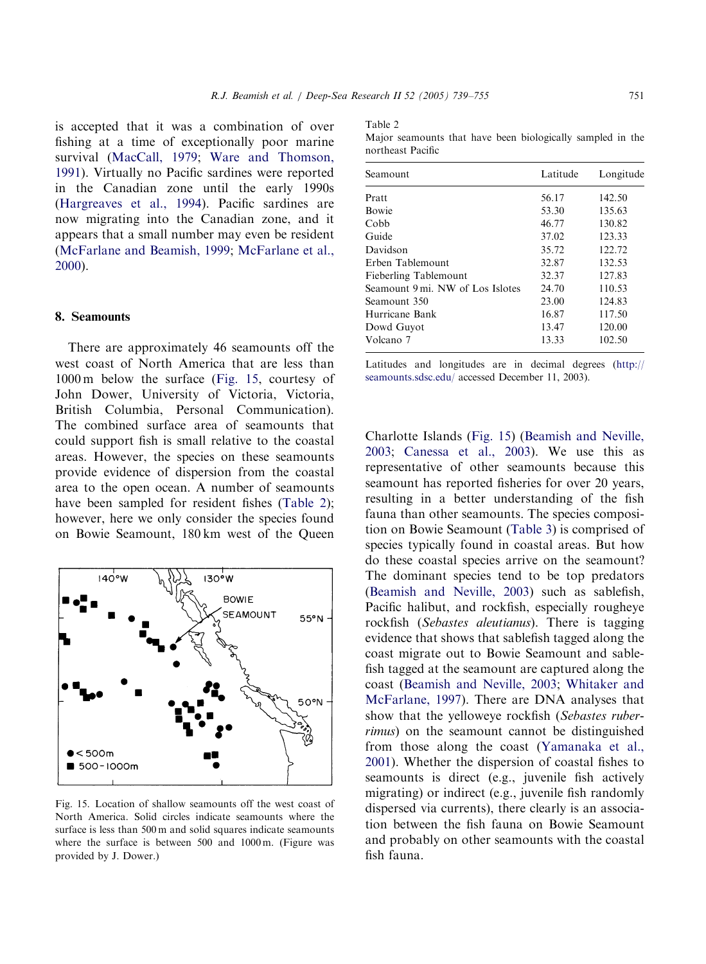is accepted that it was a combination of over fishing at a time of exceptionally poor marine survival [\(MacCall, 1979](#page-15-0); [Ware and Thomson,](#page-16-0) [1991](#page-16-0)). Virtually no Pacific sardines were reported in the Canadian zone until the early 1990s ([Hargreaves et al., 1994](#page-15-0)). Pacific sardines are now migrating into the Canadian zone, and it appears that a small number may even be resident ([McFarlane and Beamish, 1999;](#page-15-0) [McFarlane et al.,](#page-15-0) [2000](#page-15-0)).

#### 8. Seamounts

There are approximately 46 seamounts off the west coast of North America that are less than 1000 m below the surface ([Fig. 15](#page-12-0), courtesy of John Dower, University of Victoria, Victoria, British Columbia, Personal Communication). The combined surface area of seamounts that could support fish is small relative to the coastal areas. However, the species on these seamounts provide evidence of dispersion from the coastal area to the open ocean. A number of seamounts have been sampled for resident fishes ([Table 2\)](#page-12-0); however, here we only consider the species found on Bowie Seamount, 180 km west of the Queen



<span id="page-12-0"></span>Fig. 15. Location of shallow seamounts off the west coast of North America. Solid circles indicate seamounts where the surface is less than 500 m and solid squares indicate seamounts where the surface is between 500 and 1000 m. (Figure was provided by J. Dower.)

| эĐL |  |  |  |  |  |  |  |  |  |  |  |  |  |  |  |  |  |  |  |  |  |  |  |  |  |  |  |  |  |  |  |  |  |  |  |  |  |  |  |  |  |  |  |  |  |  |  |  |  |  |  |  |  |  |  |  |  |  |  |  |  |  |  |  |  |  |  |  |  |  |  |  |  |  |  |  |  |  |  |  |  |  |  |  |  |  |  |  |  |  |  |  |  |  |  |  |  |  |  |  |  |  |  |  |  |  |  |  |  |  |  |  |  |  |  |  |  |  |  |  |  |  |  |  |  |  |  |  |  |  |  |  |  |  |  |  |  |  |  |  |  |  |  |  |  |  |
|-----|--|--|--|--|--|--|--|--|--|--|--|--|--|--|--|--|--|--|--|--|--|--|--|--|--|--|--|--|--|--|--|--|--|--|--|--|--|--|--|--|--|--|--|--|--|--|--|--|--|--|--|--|--|--|--|--|--|--|--|--|--|--|--|--|--|--|--|--|--|--|--|--|--|--|--|--|--|--|--|--|--|--|--|--|--|--|--|--|--|--|--|--|--|--|--|--|--|--|--|--|--|--|--|--|--|--|--|--|--|--|--|--|--|--|--|--|--|--|--|--|--|--|--|--|--|--|--|--|--|--|--|--|--|--|--|--|--|--|--|--|--|--|--|--|--|--|
|-----|--|--|--|--|--|--|--|--|--|--|--|--|--|--|--|--|--|--|--|--|--|--|--|--|--|--|--|--|--|--|--|--|--|--|--|--|--|--|--|--|--|--|--|--|--|--|--|--|--|--|--|--|--|--|--|--|--|--|--|--|--|--|--|--|--|--|--|--|--|--|--|--|--|--|--|--|--|--|--|--|--|--|--|--|--|--|--|--|--|--|--|--|--|--|--|--|--|--|--|--|--|--|--|--|--|--|--|--|--|--|--|--|--|--|--|--|--|--|--|--|--|--|--|--|--|--|--|--|--|--|--|--|--|--|--|--|--|--|--|--|--|--|--|--|--|--|

Major seamounts that have been biologically sampled in the northeast Pacific

| Seamount                         | Latitude | Longitude |
|----------------------------------|----------|-----------|
| Pratt                            | 56.17    | 142.50    |
| <b>Bowie</b>                     | 53.30    | 135.63    |
| Cobb                             | 46.77    | 130.82    |
| Guide                            | 37.02    | 123.33    |
| Davidson                         | 35.72    | 122.72    |
| Erben Tablemount                 | 32.87    | 132.53    |
| Fieberling Tablemount            | 32.37    | 127.83    |
| Seamount 9 mi. NW of Los Islotes | 24.70    | 110.53    |
| Seamount 350                     | 23.00    | 124.83    |
| Hurricane Bank                   | 16.87    | 117.50    |
| Dowd Guyot                       | 13.47    | 120.00    |
| Volcano 7                        | 13.33    | 102.50    |

Latitudes and longitudes are in decimal degrees [\(http://](http://seamounts.sdsc.edu/) [seamounts.sdsc.edu/](http://seamounts.sdsc.edu/) accessed December 11, 2003).

Charlotte Islands [\(Fig. 15](#page-12-0)) [\(Beamish and Neville,](#page-14-0) [2003;](#page-14-0) [Canessa et al., 2003](#page-14-0)). We use this as representative of other seamounts because this seamount has reported fisheries for over 20 years, resulting in a better understanding of the fish fauna than other seamounts. The species composition on Bowie Seamount ([Table 3\)](#page-13-0) is comprised of species typically found in coastal areas. But how do these coastal species arrive on the seamount? The dominant species tend to be top predators ([Beamish and Neville, 2003](#page-14-0)) such as sablefish, Pacific halibut, and rockfish, especially rougheye rockfish (Sebastes aleutianus). There is tagging evidence that shows that sablefish tagged along the coast migrate out to Bowie Seamount and sablefish tagged at the seamount are captured along the coast [\(Beamish and Neville, 2003](#page-14-0); [Whitaker and](#page-16-0) [McFarlane, 1997\)](#page-16-0). There are DNA analyses that show that the yelloweye rockfish (Sebastes ruberrimus) on the seamount cannot be distinguished from those along the coast [\(Yamanaka et al.,](#page-16-0) [2001\)](#page-16-0). Whether the dispersion of coastal fishes to seamounts is direct (e.g., juvenile fish actively migrating) or indirect (e.g., juvenile fish randomly dispersed via currents), there clearly is an association between the fish fauna on Bowie Seamount and probably on other seamounts with the coastal fish fauna.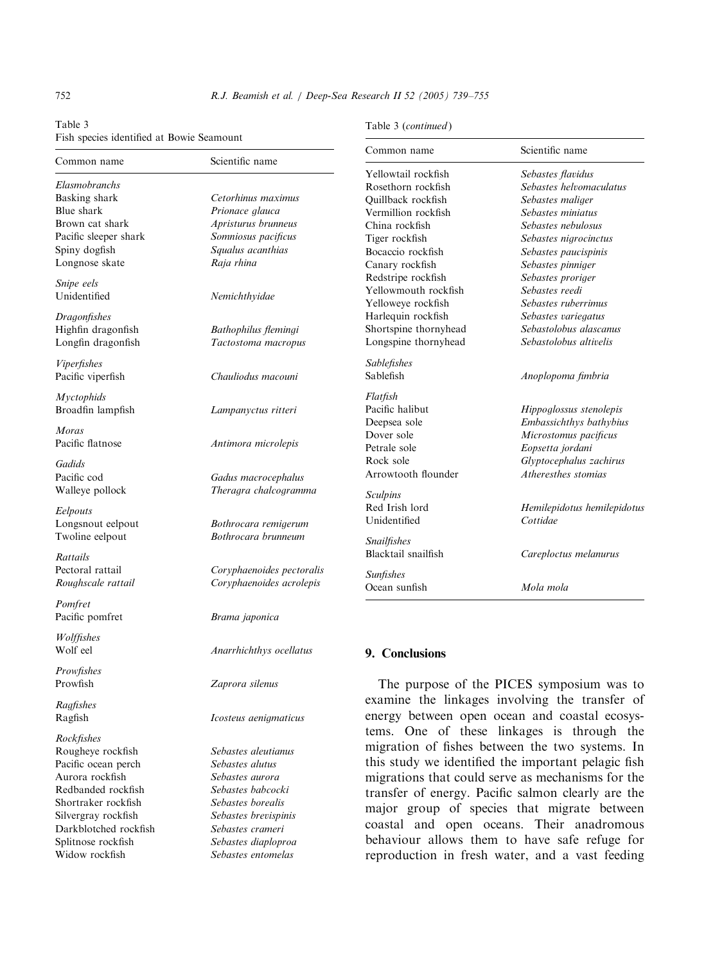#### 752 R.J. Beamish et al. / Deep-Sea Research II 52 (2005) 739–755

| Table 3 |  |  |                                           |
|---------|--|--|-------------------------------------------|
|         |  |  | Fish species identified at Bowie Seamount |

#### Table 3 (continued )

| rish species identified at bowle seamount |                           |                       |                             |
|-------------------------------------------|---------------------------|-----------------------|-----------------------------|
| Common name                               | Scientific name           | Common name           | Scientific name             |
| Elasmobranchs                             |                           | Yellowtail rockfish   | Sebastes flavidus           |
| Basking shark                             | Cetorhinus maximus        | Rosethorn rockfish    | Sebastes helvomaculatus     |
| Blue shark                                | Prionace glauca           | Quillback rockfish    | Sebastes maliger            |
| Brown cat shark                           | Apristurus brunneus       | Vermillion rockfish   | Sebastes miniatus           |
|                                           |                           | China rockfish        | Sebastes nebulosus          |
| Pacific sleeper shark                     | Somniosus pacificus       | Tiger rockfish        | Sebastes nigrocinctus       |
| Spiny dogfish                             | Squalus acanthias         | Bocaccio rockfish     | Sebastes paucispinis        |
| Longnose skate                            | Raja rhina                | Canary rockfish       | Sebastes pinniger           |
| Snipe eels                                |                           | Redstripe rockfish    | Sebastes proriger           |
| Unidentified                              | Nemichthyidae             | Yellowmouth rockfish  | Sebastes reedi              |
|                                           |                           | Yelloweye rockfish    | Sebastes ruberrimus         |
| Dragonfishes                              |                           | Harlequin rockfish    | Sebastes variegatus         |
| Highfin dragonfish                        | Bathophilus flemingi      | Shortspine thornyhead | Sebastolobus alascanus      |
| Longfin dragonfish                        | Tactostoma macropus       | Longspine thornyhead  | Sebastolobus altivelis      |
| Viperfishes                               |                           | Sablefishes           |                             |
| Pacific viperfish                         | Chauliodus macouni        | Sablefish             | Anoplopoma fimbria          |
| <b>Myctophids</b>                         |                           | Flatfish              |                             |
| Broadfin lampfish                         | Lampanyctus ritteri       | Pacific halibut       | Hippoglossus stenolepis     |
|                                           |                           | Deepsea sole          | Embassichthys bathybius     |
| Moras                                     |                           | Dover sole            | Microstomus pacificus       |
| Pacific flatnose                          | Antimora microlepis       | Petrale sole          | Eopsetta jordani            |
| Gadids                                    |                           | Rock sole             | Glyptocephalus zachirus     |
| Pacific cod                               | Gadus macrocephalus       | Arrowtooth flounder   | Atheresthes stomias         |
| Walleye pollock                           | Theragra chalcogramma     |                       |                             |
|                                           |                           | <b>Sculpins</b>       |                             |
| Eelpouts                                  |                           | Red Irish lord        | Hemilepidotus hemilepidotus |
| Longsnout eelpout                         | Bothrocara remigerum      | Unidentified          | Cottidae                    |
| Twoline eelpout                           | Bothrocara brunneum       | <b>Snailfishes</b>    |                             |
| <b>Rattails</b>                           |                           | Blacktail snailfish   | Careploctus melanurus       |
|                                           |                           |                       |                             |
| Pectoral rattail                          | Coryphaenoides pectoralis | <b>Sunfishes</b>      |                             |
| Roughscale rattail                        | Coryphaenoides acrolepis  | Ocean sunfish         | Mola mola                   |
| $D_{\alpha\mu\alpha}$ frot                |                           |                       |                             |

# 9. Conclusions

The purpose of the PICES symposium was to examine the linkages involving the transfer of energy between open ocean and coastal ecosystems. One of these linkages is through the migration of fishes between the two systems. In this study we identified the important pelagic fish migrations that could serve as mechanisms for the transfer of energy. Pacific salmon clearly are the major group of species that migrate between coastal and open oceans. Their anadromous behaviour allows them to have safe refuge for reproduction in fresh water, and a vast feeding

| <b>Myctophids</b><br>Broadfin lampfish | Lampanyctus ritteri     |
|----------------------------------------|-------------------------|
|                                        |                         |
| Moras                                  |                         |
| Pacific flatnose                       | Antimora microlepis     |
| Gadids                                 |                         |
| Pacific cod                            | Gadus macrocephalus     |
| Walleye pollock                        | Theragra chalcogramma   |
| Eelpouts                               |                         |
| Longsnout eelpout                      | Bothrocara remigerum    |
| Twoline eelpout                        | Bothrocara brunneum     |
| <b>Rattails</b>                        |                         |
| Pectoral rattail                       | Coryphaenoides pectora  |
| Roughscale rattail                     | Coryphaenoides acrolep  |
| Pomfret                                |                         |
| Pacific pomfret                        | Brama japonica          |
| Wolffishes                             |                         |
| Wolf eel                               | Anarrhichthys ocellatus |
| Prowfishes                             |                         |
| Prowfish                               | Zaprora silenus         |
| Ragfishes                              |                         |
| Ragfish                                | Icosteus aenigmaticus   |
| Rockfishes                             |                         |
| Rougheye rockfish                      | Sebastes aleutianus     |
| Pacific ocean perch                    | Sebastes alutus         |
| Aurora rockfish                        | Sebastes aurora         |
| Redbanded rockfish                     | Sebastes babcocki       |
| Shortraker rockfish                    | Sebastes borealis       |
| Silvergray rockfish                    | Sebastes brevispinis    |

<span id="page-13-0"></span>Darkblotched rockfish Sebastes crameri Splitnose rockfish Sebastes diaploproa Widow rockfish Sebastes entomelas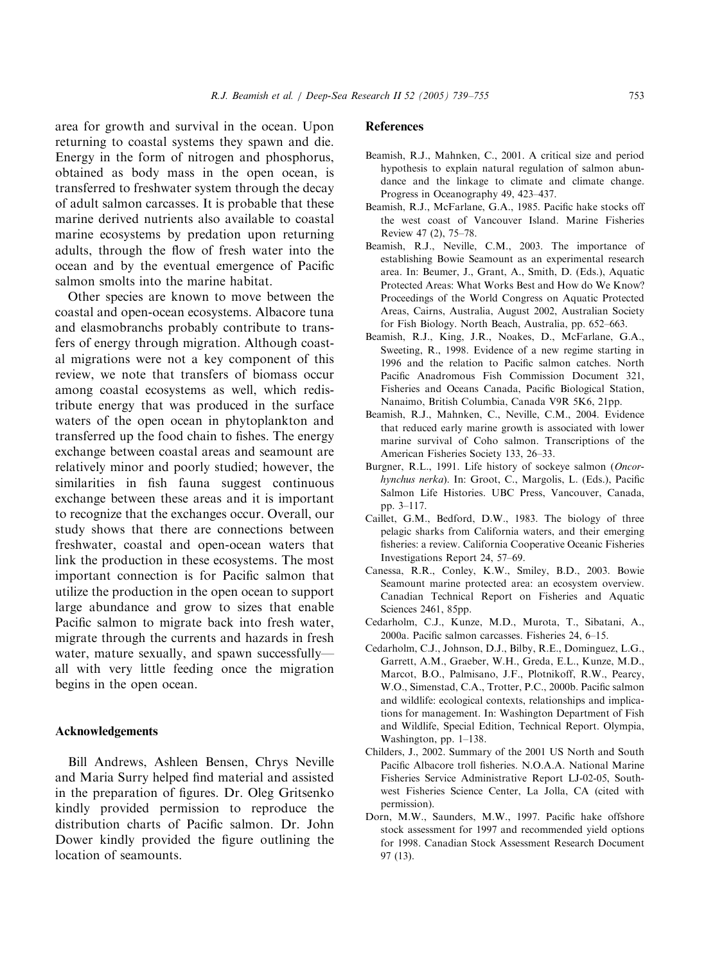area for growth and survival in the ocean. Upon returning to coastal systems they spawn and die. Energy in the form of nitrogen and phosphorus, obtained as body mass in the open ocean, is transferred to freshwater system through the decay of adult salmon carcasses. It is probable that these marine derived nutrients also available to coastal marine ecosystems by predation upon returning adults, through the flow of fresh water into the ocean and by the eventual emergence of Pacific salmon smolts into the marine habitat.

Other species are known to move between the coastal and open-ocean ecosystems. Albacore tuna and elasmobranchs probably contribute to transfers of energy through migration. Although coastal migrations were not a key component of this review, we note that transfers of biomass occur among coastal ecosystems as well, which redistribute energy that was produced in the surface waters of the open ocean in phytoplankton and transferred up the food chain to fishes. The energy exchange between coastal areas and seamount are relatively minor and poorly studied; however, the similarities in fish fauna suggest continuous exchange between these areas and it is important to recognize that the exchanges occur. Overall, our study shows that there are connections between freshwater, coastal and open-ocean waters that link the production in these ecosystems. The most important connection is for Pacific salmon that utilize the production in the open ocean to support large abundance and grow to sizes that enable Pacific salmon to migrate back into fresh water, migrate through the currents and hazards in fresh water, mature sexually, and spawn successfully all with very little feeding once the migration begins in the open ocean.

# Acknowledgements

<span id="page-14-0"></span>Bill Andrews, Ashleen Bensen, Chrys Neville and Maria Surry helped find material and assisted in the preparation of figures. Dr. Oleg Gritsenko kindly provided permission to reproduce the distribution charts of Pacific salmon. Dr. John Dower kindly provided the figure outlining the location of seamounts.

# **References**

- Beamish, R.J., Mahnken, C., 2001. A critical size and period hypothesis to explain natural regulation of salmon abundance and the linkage to climate and climate change. Progress in Oceanography 49, 423–437.
- Beamish, R.J., McFarlane, G.A., 1985. Pacific hake stocks off the west coast of Vancouver Island. Marine Fisheries Review 47 (2), 75–78.
- Beamish, R.J., Neville, C.M., 2003. The importance of establishing Bowie Seamount as an experimental research area. In: Beumer, J., Grant, A., Smith, D. (Eds.), Aquatic Protected Areas: What Works Best and How do We Know? Proceedings of the World Congress on Aquatic Protected Areas, Cairns, Australia, August 2002, Australian Society for Fish Biology. North Beach, Australia, pp. 652–663.
- Beamish, R.J., King, J.R., Noakes, D., McFarlane, G.A., Sweeting, R., 1998. Evidence of a new regime starting in 1996 and the relation to Pacific salmon catches. North Pacific Anadromous Fish Commission Document 321, Fisheries and Oceans Canada, Pacific Biological Station, Nanaimo, British Columbia, Canada V9R 5K6, 21pp.
- Beamish, R.J., Mahnken, C., Neville, C.M., 2004. Evidence that reduced early marine growth is associated with lower marine survival of Coho salmon. Transcriptions of the American Fisheries Society 133, 26–33.
- Burgner, R.L., 1991. Life history of sockeye salmon (Oncorhynchus nerka). In: Groot, C., Margolis, L. (Eds.), Pacific Salmon Life Histories. UBC Press, Vancouver, Canada, pp. 3–117.
- Caillet, G.M., Bedford, D.W., 1983. The biology of three pelagic sharks from California waters, and their emerging fisheries: a review. California Cooperative Oceanic Fisheries Investigations Report 24, 57–69.
- Canessa, R.R., Conley, K.W., Smiley, B.D., 2003. Bowie Seamount marine protected area: an ecosystem overview. Canadian Technical Report on Fisheries and Aquatic Sciences 2461, 85pp.
- Cedarholm, C.J., Kunze, M.D., Murota, T., Sibatani, A., 2000a. Pacific salmon carcasses. Fisheries 24, 6–15.
- Cedarholm, C.J., Johnson, D.J., Bilby, R.E., Dominguez, L.G., Garrett, A.M., Graeber, W.H., Greda, E.L., Kunze, M.D., Marcot, B.O., Palmisano, J.F., Plotnikoff, R.W., Pearcy, W.O., Simenstad, C.A., Trotter, P.C., 2000b. Pacific salmon and wildlife: ecological contexts, relationships and implications for management. In: Washington Department of Fish and Wildlife, Special Edition, Technical Report. Olympia, Washington, pp. 1–138.
- Childers, J., 2002. Summary of the 2001 US North and South Pacific Albacore troll fisheries. N.O.A.A. National Marine Fisheries Service Administrative Report LJ-02-05, Southwest Fisheries Science Center, La Jolla, CA (cited with permission).
- Dorn, M.W., Saunders, M.W., 1997. Pacific hake offshore stock assessment for 1997 and recommended yield options for 1998. Canadian Stock Assessment Research Document 97 (13).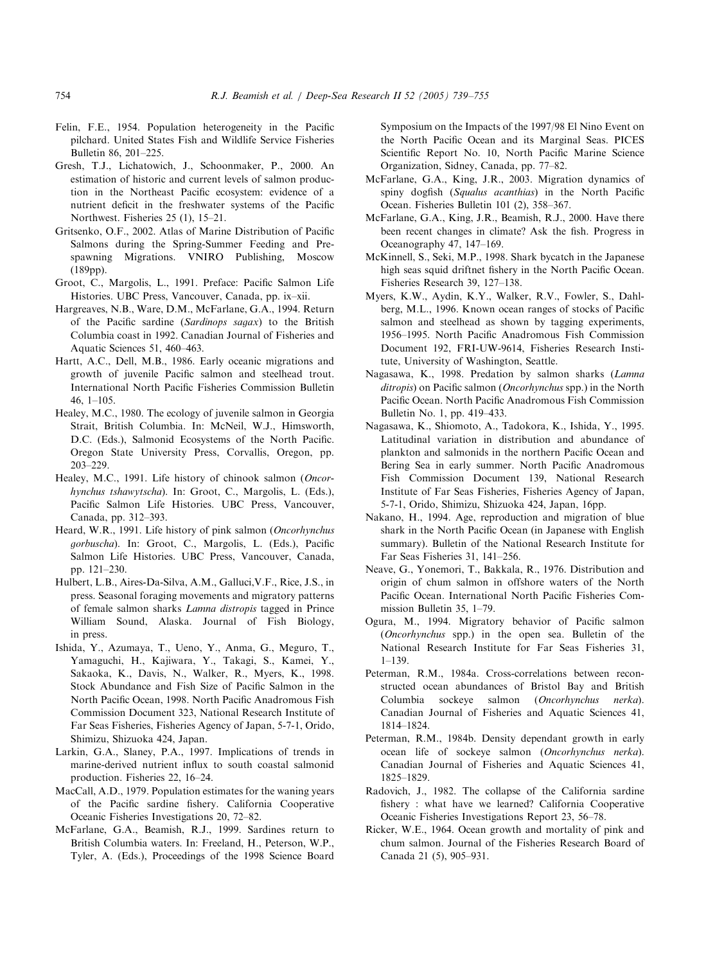- Felin, F.E., 1954. Population heterogeneity in the Pacific pilchard. United States Fish and Wildlife Service Fisheries Bulletin 86, 201–225.
- Gresh, T.J., Lichatowich, J., Schoonmaker, P., 2000. An estimation of historic and current levels of salmon production in the Northeast Pacific ecosystem: evidence of a nutrient deficit in the freshwater systems of the Pacific Northwest. Fisheries 25 (1), 15–21.
- Gritsenko, O.F., 2002. Atlas of Marine Distribution of Pacific Salmons during the Spring-Summer Feeding and Prespawning Migrations. VNIRO Publishing, Moscow (189pp).
- Groot, C., Margolis, L., 1991. Preface: Pacific Salmon Life Histories. UBC Press, Vancouver, Canada, pp. ix–xii.
- Hargreaves, N.B., Ware, D.M., McFarlane, G.A., 1994. Return of the Pacific sardine (Sardinops sagax) to the British Columbia coast in 1992. Canadian Journal of Fisheries and Aquatic Sciences 51, 460–463.
- Hartt, A.C., Dell, M.B., 1986. Early oceanic migrations and growth of juvenile Pacific salmon and steelhead trout. International North Pacific Fisheries Commission Bulletin  $46, 1-105.$
- Healey, M.C., 1980. The ecology of juvenile salmon in Georgia Strait, British Columbia. In: McNeil, W.J., Himsworth, D.C. (Eds.), Salmonid Ecosystems of the North Pacific. Oregon State University Press, Corvallis, Oregon, pp. 203–229.
- Healey, M.C., 1991. Life history of chinook salmon (Oncorhynchus tshawytscha). In: Groot, C., Margolis, L. (Eds.), Pacific Salmon Life Histories. UBC Press, Vancouver, Canada, pp. 312–393.
- Heard, W.R., 1991. Life history of pink salmon (Oncorhynchus gorbuscha). In: Groot, C., Margolis, L. (Eds.), Pacific Salmon Life Histories. UBC Press, Vancouver, Canada, pp. 121–230.
- Hulbert, L.B., Aires-Da-Silva, A.M., Galluci,V.F., Rice, J.S., in press. Seasonal foraging movements and migratory patterns of female salmon sharks Lamna distropis tagged in Prince William Sound, Alaska. Journal of Fish Biology, in press.
- Ishida, Y., Azumaya, T., Ueno, Y., Anma, G., Meguro, T., Yamaguchi, H., Kajiwara, Y., Takagi, S., Kamei, Y., Sakaoka, K., Davis, N., Walker, R., Myers, K., 1998. Stock Abundance and Fish Size of Pacific Salmon in the North Pacific Ocean, 1998. North Pacific Anadromous Fish Commission Document 323, National Research Institute of Far Seas Fisheries, Fisheries Agency of Japan, 5-7-1, Orido, Shimizu, Shizuoka 424, Japan.
- Larkin, G.A., Slaney, P.A., 1997. Implications of trends in marine-derived nutrient influx to south coastal salmonid production. Fisheries 22, 16–24.
- MacCall, A.D., 1979. Population estimates for the waning years of the Pacific sardine fishery. California Cooperative Oceanic Fisheries Investigations 20, 72–82.
- <span id="page-15-0"></span>McFarlane, G.A., Beamish, R.J., 1999. Sardines return to British Columbia waters. In: Freeland, H., Peterson, W.P., Tyler, A. (Eds.), Proceedings of the 1998 Science Board

Symposium on the Impacts of the 1997/98 El Nino Event on the North Pacific Ocean and its Marginal Seas. PICES Scientific Report No. 10, North Pacific Marine Science Organization, Sidney, Canada, pp. 77–82.

- McFarlane, G.A., King, J.R., 2003. Migration dynamics of spiny dogfish (Squalus acanthias) in the North Pacific Ocean. Fisheries Bulletin 101 (2), 358–367.
- McFarlane, G.A., King, J.R., Beamish, R.J., 2000. Have there been recent changes in climate? Ask the fish. Progress in Oceanography 47, 147–169.
- McKinnell, S., Seki, M.P., 1998. Shark bycatch in the Japanese high seas squid driftnet fishery in the North Pacific Ocean. Fisheries Research 39, 127–138.
- Myers, K.W., Aydin, K.Y., Walker, R.V., Fowler, S., Dahlberg, M.L., 1996. Known ocean ranges of stocks of Pacific salmon and steelhead as shown by tagging experiments, 1956–1995. North Pacific Anadromous Fish Commission Document 192, FRI-UW-9614, Fisheries Research Institute, University of Washington, Seattle.
- Nagasawa, K., 1998. Predation by salmon sharks (Lamna ditropis) on Pacific salmon (Oncorhynchus spp.) in the North Pacific Ocean. North Pacific Anadromous Fish Commission Bulletin No. 1, pp. 419–433.
- Nagasawa, K., Shiomoto, A., Tadokora, K., Ishida, Y., 1995. Latitudinal variation in distribution and abundance of plankton and salmonids in the northern Pacific Ocean and Bering Sea in early summer. North Pacific Anadromous Fish Commission Document 139, National Research Institute of Far Seas Fisheries, Fisheries Agency of Japan, 5-7-1, Orido, Shimizu, Shizuoka 424, Japan, 16pp.
- Nakano, H., 1994. Age, reproduction and migration of blue shark in the North Pacific Ocean (in Japanese with English summary). Bulletin of the National Research Institute for Far Seas Fisheries 31, 141–256.
- Neave, G., Yonemori, T., Bakkala, R., 1976. Distribution and origin of chum salmon in offshore waters of the North Pacific Ocean. International North Pacific Fisheries Commission Bulletin 35, 1–79.
- Ogura, M., 1994. Migratory behavior of Pacific salmon (Oncorhynchus spp.) in the open sea. Bulletin of the National Research Institute for Far Seas Fisheries 31, 1–139.
- Peterman, R.M., 1984a. Cross-correlations between reconstructed ocean abundances of Bristol Bay and British Columbia sockeye salmon (Oncorhynchus nerka). Canadian Journal of Fisheries and Aquatic Sciences 41, 1814–1824.
- Peterman, R.M., 1984b. Density dependant growth in early ocean life of sockeye salmon (Oncorhynchus nerka). Canadian Journal of Fisheries and Aquatic Sciences 41, 1825–1829.
- Radovich, J., 1982. The collapse of the California sardine fishery : what have we learned? California Cooperative Oceanic Fisheries Investigations Report 23, 56–78.
- Ricker, W.E., 1964. Ocean growth and mortality of pink and chum salmon. Journal of the Fisheries Research Board of Canada 21 (5), 905–931.